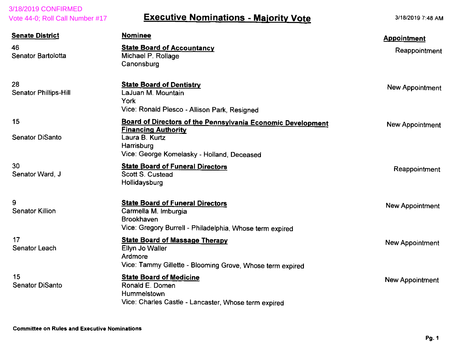| 3/18/2019 CONFIRMED<br>Vote 44-0; Roll Call Number #17 | <b>Executive Nominations - Majority Vote</b>                                                                                                                                   | 3/18/2019 7:48 AM                   |
|--------------------------------------------------------|--------------------------------------------------------------------------------------------------------------------------------------------------------------------------------|-------------------------------------|
| <b>Senate District</b><br>46<br>Senator Bartolotta     | <b>Nominee</b><br><b>State Board of Accountancy</b><br>Michael P. Rollage<br>Canonsburg                                                                                        | <b>Appointment</b><br>Reappointment |
| 28<br><b>Senator Phillips-Hill</b>                     | <b>State Board of Dentistry</b><br>LaJuan M. Mountain<br><b>York</b><br>Vice: Ronald Plesco - Allison Park, Resigned                                                           | New Appointment                     |
| 15<br><b>Senator DiSanto</b>                           | <b>Board of Directors of the Pennsylvania Economic Development</b><br><b>Financing Authority</b><br>Laura B. Kurtz<br>Harrisburg<br>Vice: George Komelasky - Holland, Deceased | <b>New Appointment</b>              |
| 30<br>Senator Ward, J                                  | <b>State Board of Funeral Directors</b><br><b>Scott S. Custead</b><br>Hollidaysburg                                                                                            | Reappointment                       |
| 9<br><b>Senator Killion</b>                            | <b>State Board of Funeral Directors</b><br>Carmella M. Imburgia<br><b>Brookhaven</b><br>Vice: Gregory Burrell - Philadelphia, Whose term expired                               | <b>New Appointment</b>              |
| 17<br><b>Senator Leach</b>                             | <b>State Board of Massage Therapy</b><br>Ellyn Jo Waller<br>Ardmore<br>Vice: Tammy Gillette - Blooming Grove, Whose term expired                                               | New Appointment                     |
| 15<br><b>Senator DiSanto</b>                           | <b>State Board of Medicine</b><br>Ronald E. Domen<br>Hummelstown<br>Vice: Charles Castle - Lancaster, Whose term expired                                                       | New Appointment                     |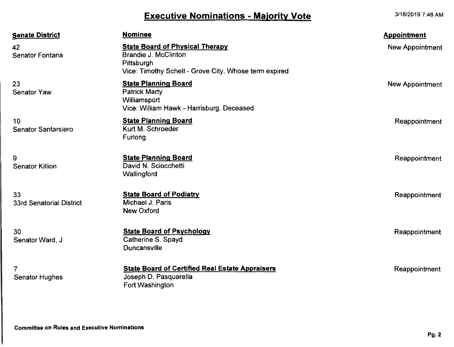## Executive Nominations - Majority Vote

3/18/2019 7:48 AM

| <b>Senate District</b>                  | <b>Nominee</b>                                                                                                                               | <b>Appointment</b> |
|-----------------------------------------|----------------------------------------------------------------------------------------------------------------------------------------------|--------------------|
| 42<br>Senator Fontana                   | <b>State Board of Physical Therapy</b><br><b>Brandie J. McClinton</b><br>Pittsburgh<br>Vice: Timothy Schell - Grove City, Whose term expired | New Appointment    |
| 23<br>Senator Yaw                       | <b>State Planning Board</b><br><b>Patrick Marty</b><br>Williamsport<br>Vice: William Hawk - Harrisburg, Deceased                             | New Appointment    |
| 10<br><b>Senator Santarsiero</b>        | <b>State Planning Board</b><br>Kurt M. Schroeder<br>Furlong                                                                                  | Reappointment      |
| 9<br><b>Senator Killion</b>             | <b>State Planning Board</b><br>David N. Sciocchetti<br>Wallingford                                                                           | Reappointment      |
| 33<br>33rd Senatorial District          | <b>State Board of Podiatry</b><br>Michael J. Paris<br><b>New Oxford</b>                                                                      | Reappointment      |
| 30<br>Senator Ward, J                   | <b>State Board of Psychology</b><br>Catherine S. Spayd<br><b>Duncansville</b>                                                                | Reappointment      |
| $\overline{7}$<br><b>Senator Hughes</b> | <b>State Board of Certified Real Estate Appraisers</b><br>Joseph D. Pasquarella<br>Fort Washington                                           | Reappointment      |